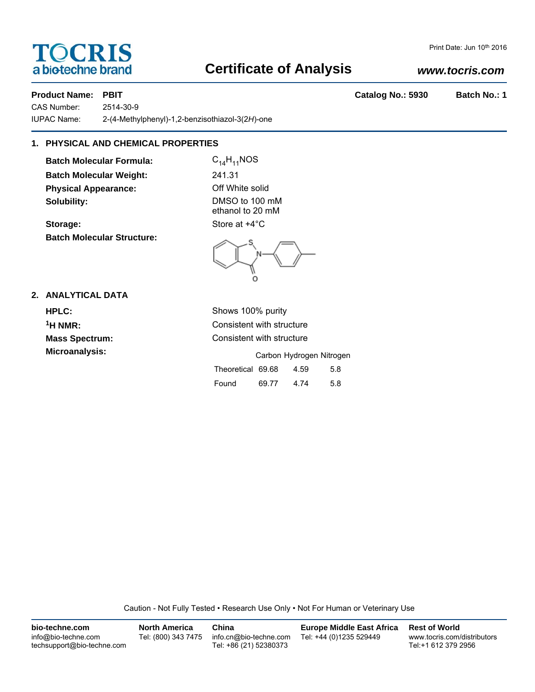# **TOCRIS** a biotechne brand

# **Certificate of Analysis**

### *www.tocris.com*

Print Date: Jun 10th 2016

**Product Name: PBIT Catalog No.: 5930 Batch No.: 1**

CAS Number: 2514-30-9 IUPAC Name: 2-(4-Methylphenyl)-1,2-benzisothiazol-3(2*H*)-one

### **1. PHYSICAL AND CHEMICAL PROPERTIES**

**Batch Molecular Formula:** C<sub>14</sub>H<sub>11</sub>NOS **Batch Molecular Weight:** 241.31 **Physical Appearance:** Off White solid **Solubility:** DMSO to 100 mM

**Batch Molecular Structure:**

ethanol to 20 mM **Storage:** Store at  $+4^{\circ}$ C

### **2. ANALYTICAL DATA**

**HPLC:** Shows 100% purity **1H NMR:** Consistent with structure **Mass Spectrum:** Consistent with structure **Microanalysis:** Carbon Hydrogen Nitrogen Theoretical 69.68 4.59 5.8 Found 69.77 4.74 5.8

Caution - Not Fully Tested • Research Use Only • Not For Human or Veterinary Use

| bio-techne.com                                    | <b>North America</b> | China                                            | Europe Middle East Africa | <b>Rest of World</b>                               |
|---------------------------------------------------|----------------------|--------------------------------------------------|---------------------------|----------------------------------------------------|
| info@bio-techne.com<br>techsupport@bio-techne.com | Tel: (800) 343 7475  | info.cn@bio-techne.com<br>Tel: +86 (21) 52380373 | Tel: +44 (0)1235 529449   | www.tocris.com/distributors<br>Tel:+1 612 379 2956 |